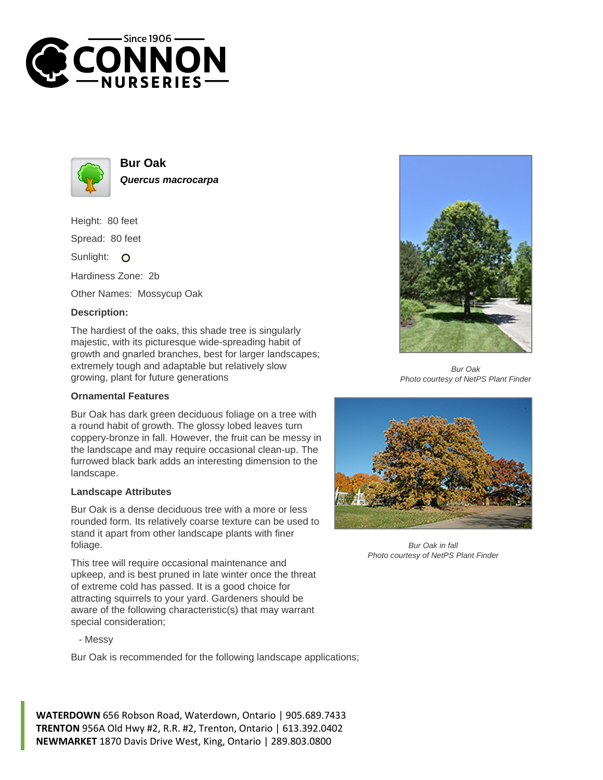



**Bur Oak Quercus macrocarpa**

Height: 80 feet

Spread: 80 feet

Sunlight: O

Hardiness Zone: 2b

Other Names: Mossycup Oak

## **Description:**

The hardiest of the oaks, this shade tree is singularly majestic, with its picturesque wide-spreading habit of growth and gnarled branches, best for larger landscapes; extremely tough and adaptable but relatively slow growing, plant for future generations

## **Ornamental Features**

Bur Oak has dark green deciduous foliage on a tree with a round habit of growth. The glossy lobed leaves turn coppery-bronze in fall. However, the fruit can be messy in the landscape and may require occasional clean-up. The furrowed black bark adds an interesting dimension to the landscape.

## **Landscape Attributes**

Bur Oak is a dense deciduous tree with a more or less rounded form. Its relatively coarse texture can be used to stand it apart from other landscape plants with finer foliage.

This tree will require occasional maintenance and upkeep, and is best pruned in late winter once the threat of extreme cold has passed. It is a good choice for attracting squirrels to your yard. Gardeners should be aware of the following characteristic(s) that may warrant special consideration;

- Messy

Bur Oak is recommended for the following landscape applications;

**WATERDOWN** 656 Robson Road, Waterdown, Ontario | 905.689.7433 **TRENTON** 956A Old Hwy #2, R.R. #2, Trenton, Ontario | 613.392.0402 **NEWMARKET** 1870 Davis Drive West, King, Ontario | 289.803.0800



Bur Oak Photo courtesy of NetPS Plant Finder



Bur Oak in fall Photo courtesy of NetPS Plant Finder